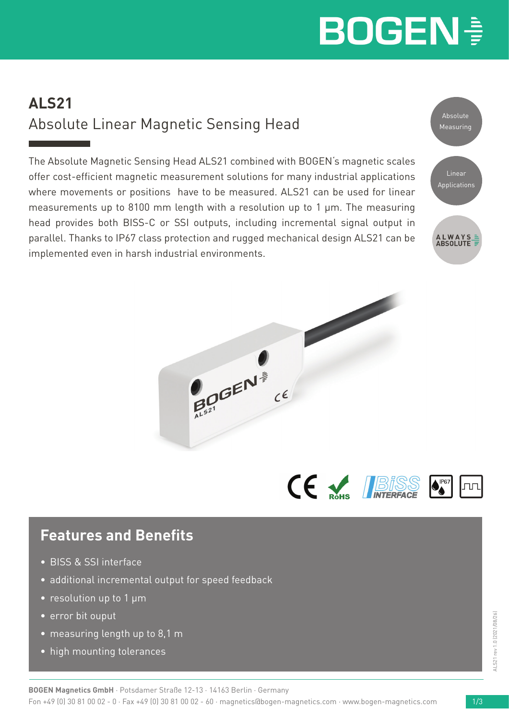# **BOGEN!**

## **ALS21** Absolute Linear Magnetic Sensing Head

The Absolute Magnetic Sensing Head ALS21 combined with BOGEN's magnetic scales offer cost-efficient magnetic measurement solutions for many industrial applications where movements or positions have to be measured. ALS21 can be used for linear measurements up to 8100 mm length with a resolution up to 1 µm. The measuring head provides both BISS-C or SSI outputs, including incremental signal output in parallel. Thanks to IP67 class protection and rugged mechanical design ALS21 can be implemented even in harsh industrial environments.





CE V. IBISS

### **Features and Benefits**

- BISS & SSI interface
- additional incremental output for speed feedback
- resolution up to 1 μm
- error bit ouput
- measuring length up to 8,1 m
- high mounting tolerances

lnn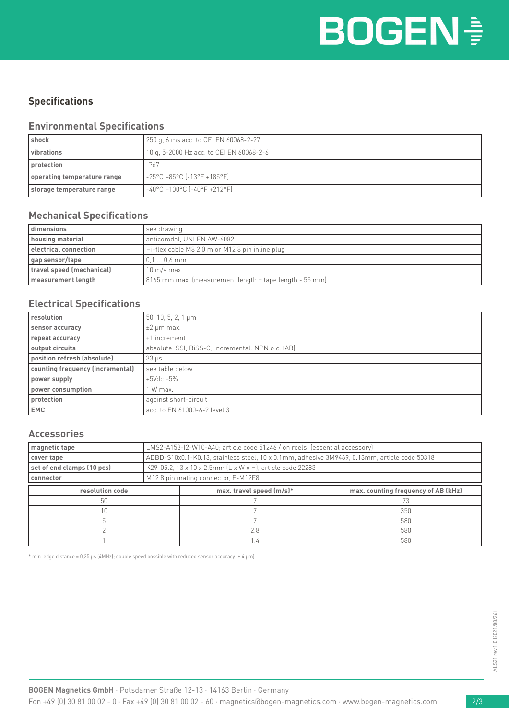#### **Specifications**

#### **Environmental Specifications**

| shock                       | 250 g, 6 ms acc. to CEI EN 60068-2-27    |  |  |  |
|-----------------------------|------------------------------------------|--|--|--|
| vibrations                  | 10 g, 5-2000 Hz acc. to CEI EN 60068-2-6 |  |  |  |
| protection                  | IP67                                     |  |  |  |
| operating temperature range | $-25^{\circ}$ C +85°C (-13°F +185°F)     |  |  |  |
| storage temperature range   | $-40^{\circ}$ C +100°C (-40°F +212°F)    |  |  |  |

#### **Mechanical Specifications**

| dimensions                                                               | see drawing                                             |  |  |
|--------------------------------------------------------------------------|---------------------------------------------------------|--|--|
| housing material                                                         | anticorodal, UNI EN AW-6082                             |  |  |
| electrical connection<br>Hi-flex cable M8 2.0 m or M12 8 pin inline plug |                                                         |  |  |
| gap sensor/tape                                                          | $0.10.6$ mm                                             |  |  |
| travel speed (mechanical)                                                | $10 \text{ m/s}$ max.                                   |  |  |
| measurement length                                                       | 8165 mm max. (measurement length = tape length - 55 mm) |  |  |

#### **Electrical Specifications**

| resolution                       | 50, 10, 5, 2, 1 $\mu$ m                           |  |  |  |
|----------------------------------|---------------------------------------------------|--|--|--|
| sensor accuracy                  | $±2 \mu m$ max.                                   |  |  |  |
| repeat accuracy                  | $±1$ increment                                    |  |  |  |
| output circuits                  | absolute: SSI, BiSS-C; incremental: NPN o.c. (AB) |  |  |  |
| position refresh (absolute)      | $33 \mu s$                                        |  |  |  |
| counting frequency (incremental) | see table below                                   |  |  |  |
| power supply                     | $+5$ Vdc $\pm 5\%$                                |  |  |  |
| power consumption                | 1 W max.                                          |  |  |  |
| protection                       | against short-circuit                             |  |  |  |
| <b>EMC</b>                       | acc. to EN 61000-6-2 level 3                      |  |  |  |

#### **Accessories**

| magnetic tape              | LMS2-A153-I2-W10-A40; article code 51246 / on reels; (essential accessory)                   |                             |                                     |  |  |  |
|----------------------------|----------------------------------------------------------------------------------------------|-----------------------------|-------------------------------------|--|--|--|
| cover tape                 | ADBD-S10x0.1-K0.13, stainless steel, 10 x 0.1mm, adhesive 3M9469, 0.13mm, article code 50318 |                             |                                     |  |  |  |
| set of end clamps (10 pcs) | K29-05.2, 13 x 10 x 2.5mm (L x W x H), article code 22283                                    |                             |                                     |  |  |  |
| connector                  | M128 pin mating connector, E-M12F8                                                           |                             |                                     |  |  |  |
| resolution code            |                                                                                              | max. travel speed $(m/s)^*$ | max. counting frequency of AB (kHz) |  |  |  |
| 50                         |                                                                                              |                             |                                     |  |  |  |
| 10                         |                                                                                              |                             | 350                                 |  |  |  |
|                            |                                                                                              |                             | 580                                 |  |  |  |
|                            |                                                                                              | 2.8                         | 580                                 |  |  |  |
|                            |                                                                                              |                             | 580                                 |  |  |  |

 $*$  min. edge distance = 0,25 μs (4MHz); double speed possible with reduced sensor accuracy ( $\pm$  4 µm)